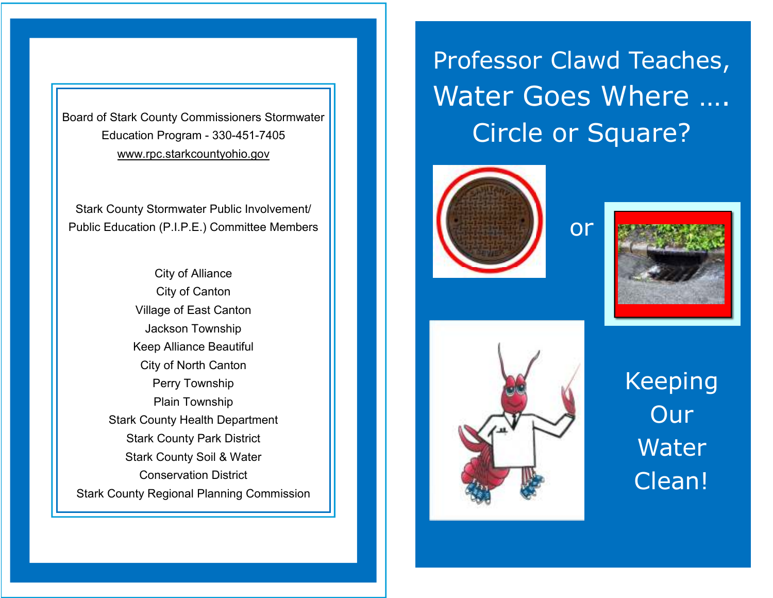Board of Stark County Commissioners Stormwater Education Program - 330-451-7405 www.rpc.starkcountyohio.gov

Stark County Stormwater Public Involvement/ Public Education (P.I.P.E.) Committee Members

City of Alliance City of Canton Village of East Canton Jackson Township Keep Alliance Beautiful City of North Canton Perry Township Plain Township Stark County Health Department Stark County Park District Stark County Soil & Water Conservation District Stark County Regional Planning Commission Professor Clawd Teaches, Water Goes Where …. Circle or Square?

or





Keeping **Our** Water Clean!